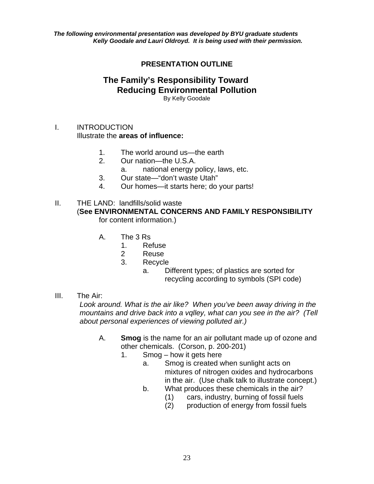*The following environmental presentation was developed by BYU graduate students Kelly Goodale and Lauri Oldroyd. It is being used with their permission.* 

# **PRESENTATION OUTLINE**

#### **The Family's Responsibility Toward Reducing Environmental Pollution**  By Kelly Goodale

# I. INTRODUCTION

Illustrate the **areas of influence:**

- 1. The world around us—the earth
- 2. Our nation—the U.S.A.
	- a. national energy policy, laws, etc.
- 3. Our state—"don't waste Utah"
- 4. Our homes—it starts here; do your parts!
- II. THE LAND: landfills/solid waste (**See ENVIRONMENTAL CONCERNS AND FAMILY RESPONSIBILITY** for content information.)
	- A. The 3 Rs
		- 1. Refuse
		- 2 Reuse
		- 3. Recycle
			- a. Different types; of plastics are sorted for recycling according to symbols (SPI code)

#### III. The Air:

*Look around. What is the air like? When you've been away driving in the mountains and drive back into a vqlley, what can you see in the air? (Tell about personal experiences of viewing polluted air.)*

- A. **Smog** is the name for an air pollutant made up of ozone and other chemicals. (Corson, p. 200-201)
	- 1. Smog how it gets here
		- a. Smog is created when sunlight acts on mixtures of nitrogen oxides and hydrocarbons in the air. (Use chalk talk to illustrate concept.)
		- b. What produces these chemicals in the air?
			- (1) cars, industry, burning of fossil fuels
			- (2) production of energy from fossil fuels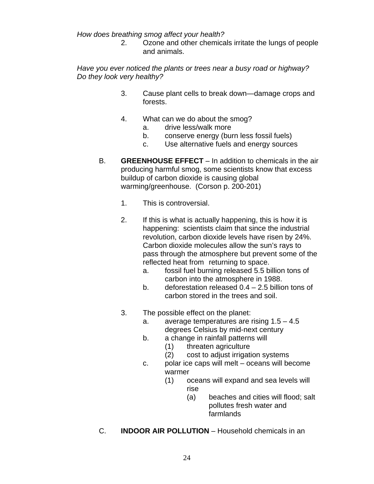*How does breathing smog affect your health?* 

2. Ozone and other chemicals irritate the lungs of people and animals.

# *Have you ever noticed the plants or trees near a busy road or highway? Do they look very healthy?*

- 3. Cause plant cells to break down—damage crops and forests.
- 4. What can we do about the smog?
	- a. drive less/walk more
	- b. conserve energy (burn less fossil fuels)
	- c. Use alternative fuels and energy sources
- B. **GREENHOUSE EFFECT** In addition to chemicals in the air producing harmful smog, some scientists know that excess buildup of carbon dioxide is causing global warming/greenhouse. (Corson p. 200-201)
	- 1. This is controversial.
	- 2. If this is what is actually happening, this is how it is happening: scientists claim that since the industrial revolution, carbon dioxide levels have risen by 24%. Carbon dioxide molecules allow the sun's rays to pass through the atmosphere but prevent some of the reflected heat from returning to space.
		- a. fossil fuel burning released 5.5 billion tons of carbon into the atmosphere in 1988.
		- b. deforestation released 0.4 2.5 billion tons of carbon stored in the trees and soil.
	- 3. The possible effect on the planet:
		- a. average temperatures are rising 1.5 4.5 degrees Celsius by mid-next century
		- b. a change in rainfall patterns will
			- (1) threaten agriculture
			- (2) cost to adjust irrigation systems
		- c. polar ice caps will melt oceans will become warmer
- (1) oceans will expand and sea levels will rise in the control of the control of the control of the control of the control of the control of the control o
	- (a) beaches and cities will flood; salt pollutes fresh water and farmlands
	- C. **INDOOR AIR POLLUTION** Household chemicals in an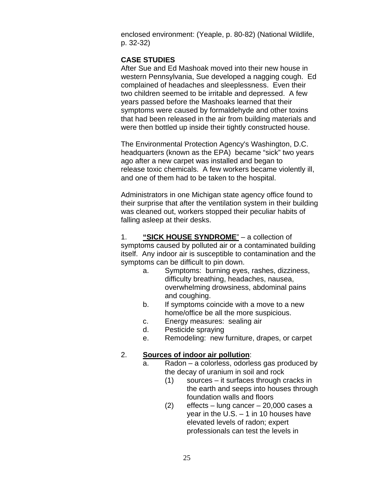enclosed environment: (Yeaple, p. 80-82) (National Wildlife, p. 32-32)

# **CASE STUDIES**

 After Sue and Ed Mashoak moved into their new house in western Pennsylvania, Sue developed a nagging cough. Ed complained of headaches and sleeplessness. Even their two children seemed to be irritable and depressed. A few years passed before the Mashoaks learned that their symptoms were caused by formaldehyde and other toxins that had been released in the air from building materials and were then bottled up inside their tightly constructed house.

The Environmental Protection Agency's Washington, D.C. headquarters (known as the EPA) became "sick" two years ago after a new carpet was installed and began to release toxic chemicals. A few workers became violently ill, and one of them had to be taken to the hospital.

 Administrators in one Michigan state agency office found to their surprise that after the ventilation system in their building was cleaned out, workers stopped their peculiar habits of falling asleep at their desks.

 1. **"SICK HOUSE SYNDROME**" – a collection of symptoms caused by polluted air or a contaminated building itself. Any indoor air is susceptible to contamination and the symptoms can be difficult to pin down.

- a. Symptoms: burning eyes, rashes, dizziness, difficulty breathing, headaches, nausea, overwhelming drowsiness, abdominal pains and coughing.
- b. If symptoms coincide with a move to a new home/office be all the more suspicious.
- c. Energy measures: sealing air
- d. Pesticide spraying
- e. Remodeling: new furniture, drapes, or carpet

#### 2. **Sources of indoor air pollution**:

- a. Radon a colorless, odorless gas produced by the decay of uranium in soil and rock
	- (1) sources it surfaces through cracks in the earth and seeps into houses through foundation walls and floors
	- (2) effects lung cancer 20,000 cases a year in the U.S. – 1 in 10 houses have elevated levels of radon; expert professionals can test the levels in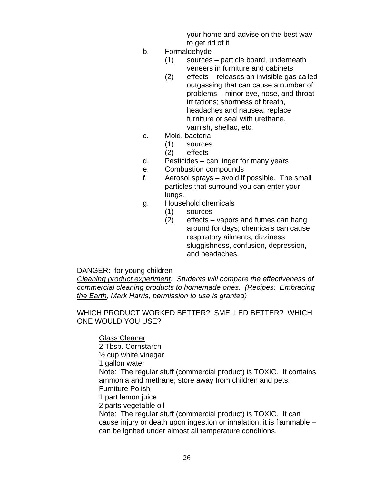your home and advise on the best way to get rid of it

- b. Formaldehyde
	- (1) sources particle board, underneath veneers in furniture and cabinets
	- (2) effects releases an invisible gas called outgassing that can cause a number of problems – minor eye, nose, and throat irritations; shortness of breath, headaches and nausea; replace furniture or seal with urethane, varnish, shellac, etc.
- c. Mold, bacteria
	- (1) sources
	- (2) effects
- d. Pesticides can linger for many years
- e. Combustion compounds
- f. Aerosol sprays avoid if possible. The small particles that surround you can enter your lungs.
- g. Household chemicals
	- (1) sources
	- (2) effects vapors and fumes can hang around for days; chemicals can cause respiratory ailments, dizziness, sluggishness, confusion, depression, and headaches.

#### DANGER: for young children

*Cleaning product experiment: Students will compare the effectiveness of commercial cleaning products to homemade ones. (Recipes: Embracing the Earth, Mark Harris, permission to use is granted)* 

WHICH PRODUCT WORKED BETTER? SMELLED BETTER? WHICH ONE WOULD YOU USE?

Glass Cleaner

 2 Tbsp. Cornstarch  $\frac{1}{2}$  cup white vinegar 1 gallon water Note: The regular stuff (commercial product) is TOXIC. It contains ammonia and methane; store away from children and pets. Furniture Polish 1 part lemon juice 2 parts vegetable oil Note: The regular stuff (commercial product) is TOXIC. It can cause injury or death upon ingestion or inhalation; it is flammable – can be ignited under almost all temperature conditions.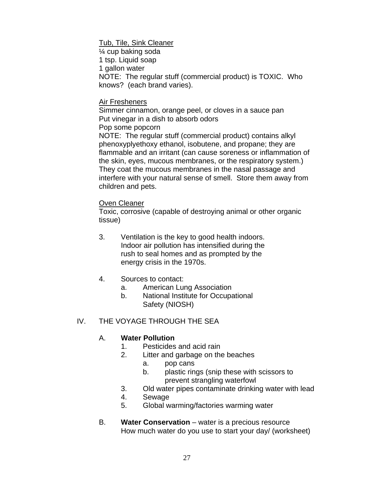Tub, Tile, Sink Cleaner

 ¼ cup baking soda 1 tsp. Liquid soap 1 gallon water NOTE: The regular stuff (commercial product) is TOXIC. Who knows? (each brand varies).

#### Air Fresheners

 Simmer cinnamon, orange peel, or cloves in a sauce pan Put vinegar in a dish to absorb odors Pop some popcorn

 NOTE: The regular stuff (commercial product) contains alkyl phenoxyplyethoxy ethanol, isobutene, and propane; they are flammable and an irritant (can cause soreness or inflammation of the skin, eyes, mucous membranes, or the respiratory system.) They coat the mucous membranes in the nasal passage and interfere with your natural sense of smell. Store them away from children and pets.

#### **Oven Cleaner**

 Toxic, corrosive (capable of destroying animal or other organic tissue)

- 3. Ventilation is the key to good health indoors. Indoor air pollution has intensified during the rush to seal homes and as prompted by the energy crisis in the 1970s.
- 4. Sources to contact:
	- a. American Lung Association
	- b. National Institute for Occupational Safety (NIOSH)

# IV. THE VOYAGE THROUGH THE SEA

# A. **Water Pollution**

- 1. Pesticides and acid rain
- 2. Litter and garbage on the beaches
	- a. pop cans
	- b. plastic rings (snip these with scissors to prevent strangling waterfowl
- 3. Old water pipes contaminate drinking water with lead
- 4. Sewage
- 5. Global warming/factories warming water
- B. **Water Conservation** water is a precious resource How much water do you use to start your day/ (worksheet)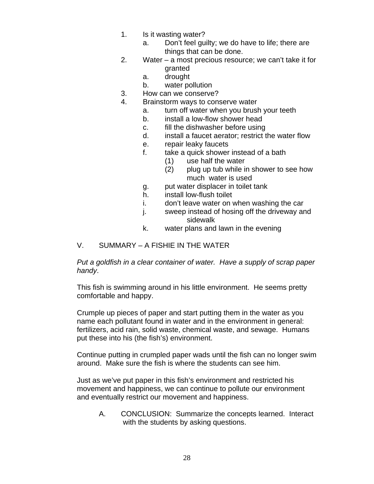- 1. Is it wasting water?
	- a. Don't feel guilty; we do have to life; there are things that can be done.
- 2. Water a most precious resource; we can't take it for granted
	- a. drought
	- b. water pollution
- 3. How can we conserve?
- 4. Brainstorm ways to conserve water
	- a. turn off water when you brush your teeth
	- b. install a low-flow shower head
	- c. fill the dishwasher before using
	- d. install a faucet aerator; restrict the water flow
	- e. repair leaky faucets
	- f. take a quick shower instead of a bath
		- (1) use half the water
		- (2) plug up tub while in shower to see how much water is used
	- g. put water displacer in toilet tank
	- h. install low-flush toilet
	- i. don't leave water on when washing the car
	- j. sweep instead of hosing off the driveway and sidewalk
	- k. water plans and lawn in the evening

#### V. SUMMARY – A FISHIE IN THE WATER

*Put a goldfish in a clear container of water. Have a supply of scrap paper handy*.

This fish is swimming around in his little environment. He seems pretty comfortable and happy.

Crumple up pieces of paper and start putting them in the water as you name each pollutant found in water and in the environment in general: fertilizers, acid rain, solid waste, chemical waste, and sewage. Humans put these into his (the fish's) environment.

Continue putting in crumpled paper wads until the fish can no longer swim around. Make sure the fish is where the students can see him.

Just as we've put paper in this fish's environment and restricted his movement and happiness, we can continue to pollute our environment and eventually restrict our movement and happiness.

A. CONCLUSION: Summarize the concepts learned. Interact with the students by asking questions.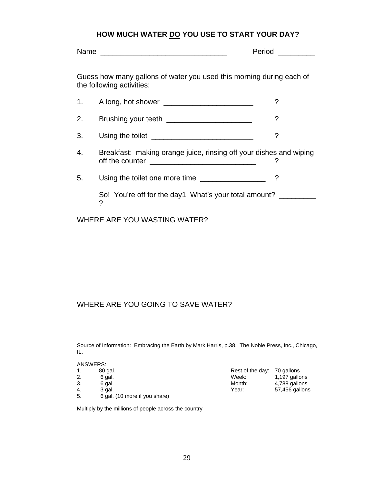# HOW MUCH WATER **DO YOU USE TO START YOUR DAY?**

|                                                                                                   |                                                                                                                                                                                                                                      | <b>Period Contract Contract Contract Contract Contract Contract Contract Contract Contract Contract Contract Contract Contract Contract Contract Contract Contract Contract Contract Contract Contract Contract Contract Contr</b> |  |  |
|---------------------------------------------------------------------------------------------------|--------------------------------------------------------------------------------------------------------------------------------------------------------------------------------------------------------------------------------------|------------------------------------------------------------------------------------------------------------------------------------------------------------------------------------------------------------------------------------|--|--|
| Guess how many gallons of water you used this morning during each of<br>the following activities: |                                                                                                                                                                                                                                      |                                                                                                                                                                                                                                    |  |  |
| 1.                                                                                                |                                                                                                                                                                                                                                      |                                                                                                                                                                                                                                    |  |  |
| 2.                                                                                                | Brushing your teeth ___________________________                                                                                                                                                                                      | ?                                                                                                                                                                                                                                  |  |  |
| 3.                                                                                                | Using the toilet <u>example and the set of the set of the set of the set of the set of the set of the set of the set of the set of the set of the set of the set of the set of the set of the set of the set of the set of the s</u> | ?                                                                                                                                                                                                                                  |  |  |
| 4.                                                                                                | Breakfast: making orange juice, rinsing off your dishes and wiping<br>?                                                                                                                                                              |                                                                                                                                                                                                                                    |  |  |
| 5.                                                                                                | Using the toilet one more time _________________                                                                                                                                                                                     |                                                                                                                                                                                                                                    |  |  |
| So! You're off for the day1 What's your total amount?<br>?                                        |                                                                                                                                                                                                                                      |                                                                                                                                                                                                                                    |  |  |

WHERE ARE YOU WASTING WATER?

# WHERE ARE YOU GOING TO SAVE WATER?

Source of Information: Embracing the Earth by Mark Harris, p.38. The Noble Press, Inc., Chicago, IL.

| ANSWERS: |                               |                             |                |
|----------|-------------------------------|-----------------------------|----------------|
| 1.       | 80 gal                        | Rest of the day: 70 gallons |                |
| 2.       | 6 gal.                        | Week:                       | 1,197 gallons  |
| 3.       | 6 gal.                        | Month:                      | 4,788 gallons  |
| 4.       | 3 gal.                        | Year:                       | 57,456 gallons |
| 5.       | 6 gal. (10 more if you share) |                             |                |

Multiply by the millions of people across the country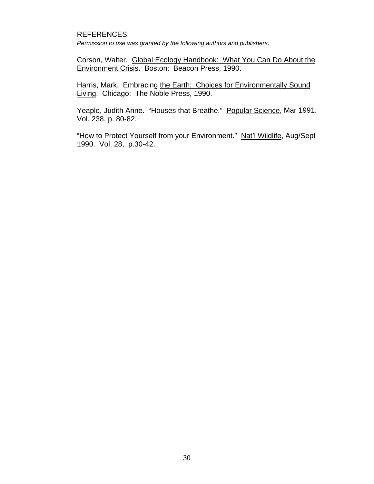#### REFERENCES:

*Permission to use was granted by the following authors and publishers*.

Corson, Walter. Global Ecology Handbook: What You Can Do About the Environment Crisis. Boston: Beacon Press, 1990.

Harris, Mark. Embracing the Earth: Choices for Environmentally Sound Living. Chicago: The Noble Press, 1990.

Yeaple, Judith Anne. "Houses that Breathe." Popular Science, Mar 1991. Vol. 238, p. 80-82.

"How to Protect Yourself from your Environment." Nat'l Wildlife, Aug/Sept 1990. Vol. 28, p.30-42.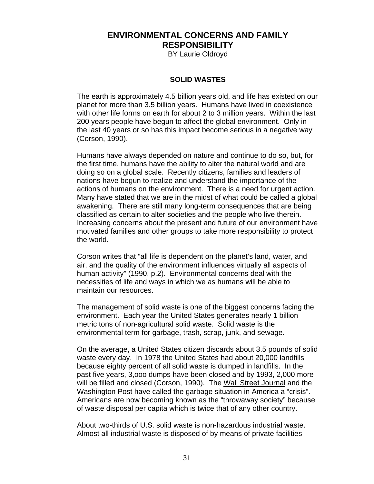# **ENVIRONMENTAL CONCERNS AND FAMILY RESPONSIBILITY**

BY Laurie Oldroyd

#### **SOLID WASTES**

The earth is approximately 4.5 billion years old, and life has existed on our planet for more than 3.5 billion years. Humans have lived in coexistence with other life forms on earth for about 2 to 3 million years. Within the last 200 years people have begun to affect the global environment. Only in the last 40 years or so has this impact become serious in a negative way (Corson, 1990).

Humans have always depended on nature and continue to do so, but, for the first time, humans have the ability to alter the natural world and are doing so on a global scale. Recently citizens, families and leaders of nations have begun to realize and understand the importance of the actions of humans on the environment. There is a need for urgent action. Many have stated that we are in the midst of what could be called a global awakening. There are still many long-term consequences that are being classified as certain to alter societies and the people who live therein. Increasing concerns about the present and future of our environment have motivated families and other groups to take more responsibility to protect the world.

Corson writes that "all life is dependent on the planet's land, water, and air, and the quality of the environment influences virtually all aspects of human activity" (1990, p.2). Environmental concerns deal with the necessities of life and ways in which we as humans will be able to maintain our resources.

The management of solid waste is one of the biggest concerns facing the environment. Each year the United States generates nearly 1 billion metric tons of non-agricultural solid waste. Solid waste is the environmental term for garbage, trash, scrap, junk, and sewage.

On the average, a United States citizen discards about 3.5 pounds of solid waste every day. In 1978 the United States had about 20,000 landfills because eighty percent of all solid waste is dumped in landfills. In the past five years, 3,ooo dumps have been closed and by 1993, 2,000 more will be filled and closed (Corson, 1990). The Wall Street Journal and the Washington Post have called the garbage situation in America a "crisis". Americans are now becoming known as the "throwaway society" because of waste disposal per capita which is twice that of any other country.

About two-thirds of U.S. solid waste is non-hazardous industrial waste. Almost all industrial waste is disposed of by means of private facilities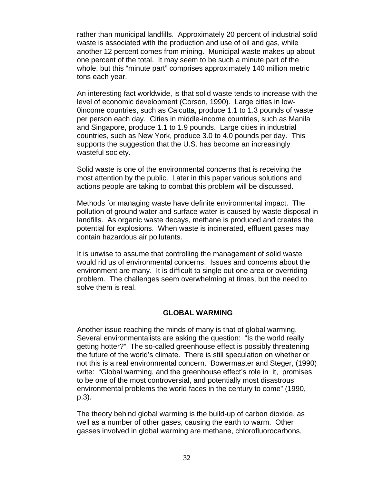rather than municipal landfills. Approximately 20 percent of industrial solid waste is associated with the production and use of oil and gas, while another 12 percent comes from mining. Municipal waste makes up about one percent of the total. It may seem to be such a minute part of the whole, but this "minute part" comprises approximately 140 million metric tons each year.

An interesting fact worldwide, is that solid waste tends to increase with the level of economic development (Corson, 1990). Large cities in low-0income countries, such as Calcutta, produce 1.1 to 1.3 pounds of waste per person each day. Cities in middle-income countries, such as Manila and Singapore, produce 1.1 to 1.9 pounds. Large cities in industrial countries, such as New York, produce 3.0 to 4.0 pounds per day. This supports the suggestion that the U.S. has become an increasingly wasteful society.

Solid waste is one of the environmental concerns that is receiving the most attention by the public. Later in this paper various solutions and actions people are taking to combat this problem will be discussed.

Methods for managing waste have definite environmental impact. The pollution of ground water and surface water is caused by waste disposal in landfills. As organic waste decays, methane is produced and creates the potential for explosions. When waste is incinerated, effluent gases may contain hazardous air pollutants.

It is unwise to assume that controlling the management of solid waste would rid us of environmental concerns. Issues and concerns about the environment are many. It is difficult to single out one area or overriding problem. The challenges seem overwhelming at times, but the need to solve them is real.

#### **GLOBAL WARMING**

Another issue reaching the minds of many is that of global warming. Several environmentalists are asking the question: "Is the world really getting hotter?" The so-called greenhouse effect is possibly threatening the future of the world's climate. There is still speculation on whether or not this is a real environmental concern. Bowermaster and Steger, (1990) write: "Global warming, and the greenhouse effect's role in it, promises to be one of the most controversial, and potentially most disastrous environmental problems the world faces in the century to come" (1990, p.3).

The theory behind global warming is the build-up of carbon dioxide, as well as a number of other gases, causing the earth to warm. Other gasses involved in global warming are methane, chlorofluorocarbons,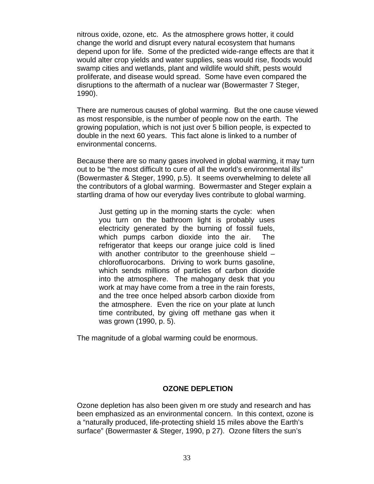nitrous oxide, ozone, etc. As the atmosphere grows hotter, it could change the world and disrupt every natural ecosystem that humans depend upon for life. Some of the predicted wide-range effects are that it would alter crop yields and water supplies, seas would rise, floods would swamp cities and wetlands, plant and wildlife would shift, pests would proliferate, and disease would spread. Some have even compared the disruptions to the aftermath of a nuclear war (Bowermaster 7 Steger, 1990).

There are numerous causes of global warming. But the one cause viewed as most responsible, is the number of people now on the earth. The growing population, which is not just over 5 billion people, is expected to double in the next 60 years. This fact alone is linked to a number of environmental concerns.

Because there are so many gases involved in global warming, it may turn out to be "the most difficult to cure of all the world's environmental ills" (Bowermaster & Steger, 1990, p.5). It seems overwhelming to delete all the contributors of a global warming. Bowermaster and Steger explain a startling drama of how our everyday lives contribute to global warming.

Just getting up in the morning starts the cycle: when you turn on the bathroom light is probably uses electricity generated by the burning of fossil fuels, which pumps carbon dioxide into the air. The refrigerator that keeps our orange juice cold is lined with another contributor to the greenhouse shield – chlorofluorocarbons. Driving to work burns gasoline, which sends millions of particles of carbon dioxide into the atmosphere. The mahogany desk that you work at may have come from a tree in the rain forests, and the tree once helped absorb carbon dioxide from the atmosphere. Even the rice on your plate at lunch time contributed, by giving off methane gas when it was grown (1990, p. 5).

The magnitude of a global warming could be enormous.

# **OZONE DEPLETION**

Ozone depletion has also been given m ore study and research and has been emphasized as an environmental concern. In this context, ozone is a "naturally produced, life-protecting shield 15 miles above the Earth's surface" (Bowermaster & Steger, 1990, p 27). Ozone filters the sun's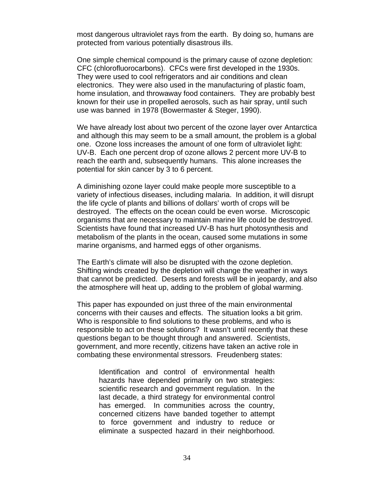most dangerous ultraviolet rays from the earth. By doing so, humans are protected from various potentially disastrous ills.

One simple chemical compound is the primary cause of ozone depletion: CFC (chlorofluorocarbons). CFCs were first developed in the 1930s. They were used to cool refrigerators and air conditions and clean electronics. They were also used in the manufacturing of plastic foam, home insulation, and throwaway food containers. They are probably best known for their use in propelled aerosols, such as hair spray, until such use was banned in 1978 (Bowermaster & Steger, 1990).

We have already lost about two percent of the ozone layer over Antarctica and although this may seem to be a small amount, the problem is a global one. Ozone loss increases the amount of one form of ultraviolet light: UV-B. Each one percent drop of ozone allows 2 percent more UV-B to reach the earth and, subsequently humans. This alone increases the potential for skin cancer by 3 to 6 percent.

A diminishing ozone layer could make people more susceptible to a variety of infectious diseases, including malaria. In addition, it will disrupt the life cycle of plants and billions of dollars' worth of crops will be destroyed. The effects on the ocean could be even worse. Microscopic organisms that are necessary to maintain marine life could be destroyed. Scientists have found that increased UV-B has hurt photosynthesis and metabolism of the plants in the ocean, caused some mutations in some marine organisms, and harmed eggs of other organisms.

The Earth's climate will also be disrupted with the ozone depletion. Shifting winds created by the depletion will change the weather in ways that cannot be predicted. Deserts and forests will be in jeopardy, and also the atmosphere will heat up, adding to the problem of global warming.

This paper has expounded on just three of the main environmental concerns with their causes and effects. The situation looks a bit grim. Who is responsible to find solutions to these problems, and who is responsible to act on these solutions? It wasn't until recently that these questions began to be thought through and answered. Scientists, government, and more recently, citizens have taken an active role in combating these environmental stressors. Freudenberg states:

Identification and control of environmental health hazards have depended primarily on two strategies: scientific research and government regulation. In the last decade, a third strategy for environmental control has emerged. In communities across the country, concerned citizens have banded together to attempt to force government and industry to reduce or eliminate a suspected hazard in their neighborhood.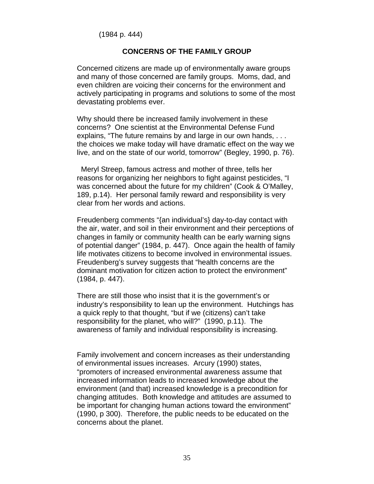(1984 p. 444)

#### **CONCERNS OF THE FAMILY GROUP**

Concerned citizens are made up of environmentally aware groups and many of those concerned are family groups. Moms, dad, and even children are voicing their concerns for the environment and actively participating in programs and solutions to some of the most devastating problems ever.

Why should there be increased family involvement in these concerns? One scientist at the Environmental Defense Fund explains, "The future remains by and large in our own hands, . . . the choices we make today will have dramatic effect on the way we live, and on the state of our world, tomorrow" (Begley, 1990, p. 76).

 Meryl Streep, famous actress and mother of three, tells her reasons for organizing her neighbors to fight against pesticides, "I was concerned about the future for my children" (Cook & O'Malley, 189, p.14). Her personal family reward and responsibility is very clear from her words and actions.

Freudenberg comments "{an individual's} day-to-day contact with the air, water, and soil in their environment and their perceptions of changes in family or community health can be early warning signs of potential danger" (1984, p. 447). Once again the health of family life motivates citizens to become involved in environmental issues. Freudenberg's survey suggests that "health concerns are the dominant motivation for citizen action to protect the environment" (1984, p. 447).

There are still those who insist that it is the government's or industry's responsibility to lean up the environment. Hutchings has a quick reply to that thought, "but if we (citizens) can't take responsibility for the planet, who will?" (1990, p.11). The awareness of family and individual responsibility is increasing.

Family involvement and concern increases as their understanding of environmental issues increases. Arcury (1990) states, "promoters of increased environmental awareness assume that increased information leads to increased knowledge about the environment (and that) increased knowledge is a precondition for changing attitudes. Both knowledge and attitudes are assumed to be important for changing human actions toward the environment" (1990, p 300). Therefore, the public needs to be educated on the concerns about the planet.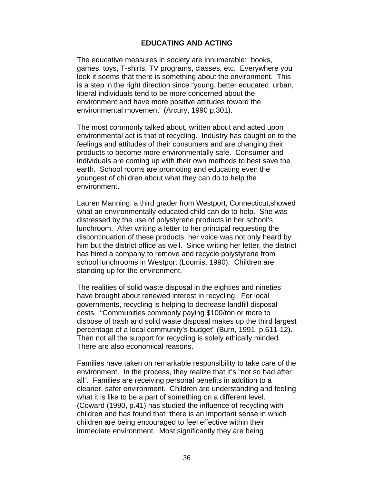#### **EDUCATING AND ACTING**

The educative measures in society are innumerable: books, games, toys, T-shirts, TV programs, classes, etc. Everywhere you look it seems that there is something about the environment. This is a step in the right direction since "young, better educated, urban, liberal individuals tend to be more concerned about the environment and have more positive attitudes toward the environmental movement" (Arcury, 1990 p.301).

The most commonly talked about, written about and acted upon environmental act is that of recycling. Industry has caught on to the feelings and attitudes of their consumers and are changing their products to become more environmentally safe. Consumer and individuals are coming up with their own methods to best save the earth. School rooms are promoting and educating even the youngest of children about what they can do to help the environment.

Lauren Manning, a third grader from Westport, Connecticut,showed what an environmentally educated child can do to help. She was distressed by the use of polystyrene products in her school's lunchroom. After writing a letter to her principal requesting the discontinuation of these products, her voice was not only heard by him but the district office as well. Since writing her letter, the district has hired a company to remove and recycle polystyrene from school lunchrooms in Westport (Loomis, 1990). Children are standing up for the environment.

The realities of solid waste disposal in the eighties and nineties have brought about renewed interest in recycling. For local governments, recycling is helping to decrease landfill disposal costs. "Communities commonly paying \$100/ton or more to dispose of trash and solid waste disposal makes up the third largest percentage of a local community's budget" (Burn, 1991, p.611-12). Then not all the support for recycling is solely ethically minded. There are also economical reasons.

Families have taken on remarkable responsibility to take care of the environment. In the process, they realize that it's "not so bad after all". Families are receiving personal benefits in addition to a cleaner, safer environment. Children are understanding and feeling what it is like to be a part of something on a different level. (Coward (1990, p.41) has studied the influence of recycling with children and has found that "there is an important sense in which children are being encouraged to feel effective within their immediate environment. Most significantly they are being